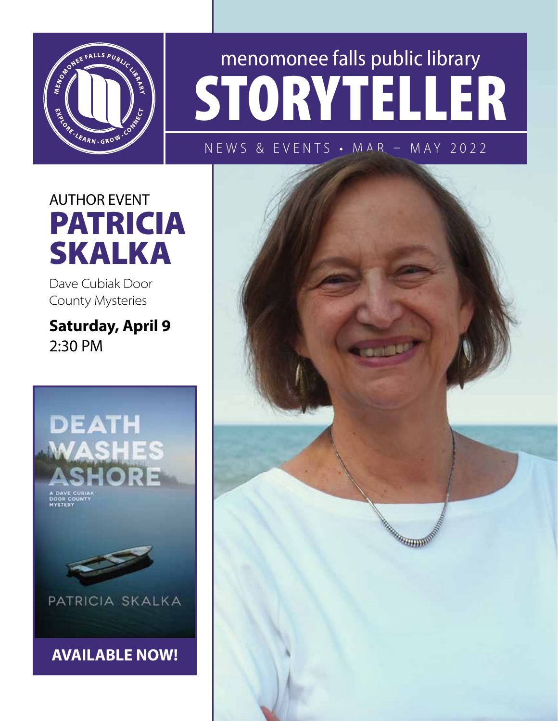

# menomonee falls public library STORYTELLER

NEWS & EVENTS • MAR – MAY 2022

AUTHOR EVENT PATRICIA SKALKA

Dave Cubiak Door County Mysteries

Saturday, April 9 2:30 PM



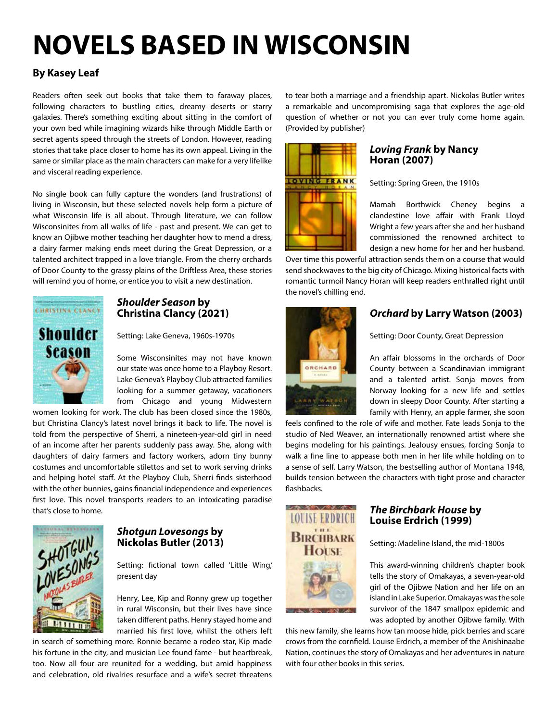# NOVELS BASED IN WISCONSIN

#### By Kasey Leaf

Readers often seek out books that take them to faraway places, following characters to bustling cities, dreamy deserts or starry galaxies. There's something exciting about sitting in the comfort of your own bed while imagining wizards hike through Middle Earth or secret agents speed through the streets of London. However, reading stories that take place closer to home has its own appeal. Living in the same or similar place as the main characters can make for a very lifelike and visceral reading experience.

No single book can fully capture the wonders (and frustrations) of living in Wisconsin, but these selected novels help form a picture of what Wisconsin life is all about. Through literature, we can follow Wisconsinites from all walks of life - past and present. We can get to know an Ojibwe mother teaching her daughter how to mend a dress, a dairy farmer making ends meet during the Great Depression, or a talented architect trapped in a love triangle. From the cherry orchards of Door County to the grassy plains of the Driftless Area, these stories will remind you of home, or entice you to visit a new destination.



#### *Shoulder Season* by Christina Clancy (2021)

Setting: Lake Geneva, 1960s-1970s

Some Wisconsinites may not have known our state was once home to a Playboy Resort. Lake Geneva's Playboy Club attracted families looking for a summer getaway, vacationers from Chicago and young Midwestern

women looking for work. The club has been closed since the 1980s, but Christina Clancy's latest novel brings it back to life. The novel is told from the perspective of Sherri, a nineteen-year-old girl in need of an income after her parents suddenly pass away. She, along with daughters of dairy farmers and factory workers, adorn tiny bunny costumes and uncomfortable stilettos and set to work serving drinks and helping hotel staff. At the Playboy Club, Sherri finds sisterhood with the other bunnies, gains financial independence and experiences first love. This novel transports readers to an intoxicating paradise that's close to home.



#### *Shotgun Lovesongs* by Nickolas Butler (2013)

Setting: fictional town called 'Little Wing,' present day

Henry, Lee, Kip and Ronny grew up together in rural Wisconsin, but their lives have since taken different paths. Henry stayed home and married his first love, whilst the others left

in search of something more. Ronnie became a rodeo star, Kip made his fortune in the city, and musician Lee found fame - but heartbreak, too. Now all four are reunited for a wedding, but amid happiness and celebration, old rivalries resurface and a wife's secret threatens

to tear both a marriage and a friendship apart. Nickolas Butler writes a remarkable and uncompromising saga that explores the age-old question of whether or not you can ever truly come home again. (Provided by publisher)



#### *Loving Frank* by Nancy Horan (2007)

Setting: Spring Green, the 1910s

Mamah Borthwick Cheney begins a clandestine love affair with Frank Lloyd Wright a few years after she and her husband commissioned the renowned architect to design a new home for her and her husband.

Over time this powerful attraction sends them on a course that would send shockwaves to the big city of Chicago. Mixing historical facts with romantic turmoil Nancy Horan will keep readers enthralled right until the novel's chilling end.



#### *Orchard* by Larry Watson (2003)

Setting: Door County, Great Depression

An affair blossoms in the orchards of Door County between a Scandinavian immigrant and a talented artist. Sonja moves from Norway looking for a new life and settles down in sleepy Door County. After starting a family with Henry, an apple farmer, she soon

feels confined to the role of wife and mother. Fate leads Sonja to the studio of Ned Weaver, an internationally renowned artist where she begins modeling for his paintings. Jealousy ensues, forcing Sonja to walk a fine line to appease both men in her life while holding on to a sense of self. Larry Watson, the bestselling author of Montana 1948, builds tension between the characters with tight prose and character flashbacks.



#### *The Birchbark House* by Louise Erdrich (1999)

Setting: Madeline Island, the mid-1800s

This award-winning children's chapter book tells the story of Omakayas, a seven-year-old girl of the Ojibwe Nation and her life on an island in Lake Superior. Omakayas was the sole survivor of the 1847 smallpox epidemic and was adopted by another Ojibwe family. With

this new family, she learns how tan moose hide, pick berries and scare crows from the cornfield. Louise Erdrich, a member of the Anishinaabe Nation, continues the story of Omakayas and her adventures in nature with four other books in this series.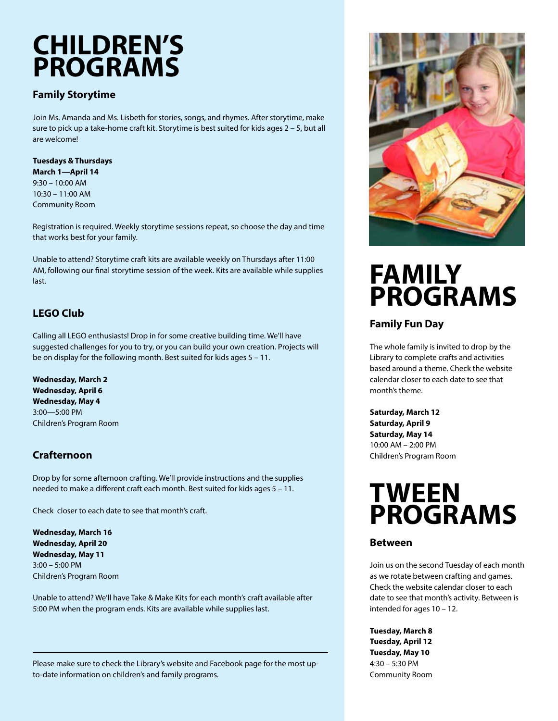### CHILDREN'S PROGRAMS

#### Family Storytime

Join Ms. Amanda and Ms. Lisbeth for stories, songs, and rhymes. After storytime, make sure to pick up a take-home craft kit. Storytime is best suited for kids ages 2 – 5, but all are welcome!

#### Tuesdays & Thursdays March 1—April 14 9:30 – 10:00 AM

10:30 – 11:00 AM Community Room

Registration is required. Weekly storytime sessions repeat, so choose the day and time that works best for your family.

Unable to attend? Storytime craft kits are available weekly on Thursdays after 11:00 AM, following our final storytime session of the week. Kits are available while supplies last.

#### LEGO Club

Calling all LEGO enthusiasts! Drop in for some creative building time. We'll have suggested challenges for you to try, or you can build your own creation. Projects will be on display for the following month. Best suited for kids ages 5 – 11.

Wednesday, March 2 Wednesday, April 6 Wednesday, May 4 3:00—5:00 PM Children's Program Room

#### Crafternoon

Drop by for some afternoon crafting. We'll provide instructions and the supplies needed to make a different craft each month. Best suited for kids ages 5 – 11.

Check closer to each date to see that month's craft.

Wednesday, March 16 Wednesday, April 20 Wednesday, May 11 3:00 – 5:00 PM Children's Program Room

Unable to attend? We'll have Take & Make Kits for each month's craft available after 5:00 PM when the program ends. Kits are available while supplies last.



#### Family Fun Day

The whole family is invited to drop by the Library to complete crafts and activities based around a theme. Check the website calendar closer to each date to see that month's theme.

Saturday, March 12 Saturday, April 9 Saturday, May 14 10:00 AM – 2:00 PM Children's Program Room

### TWEEN **PROGRAMS**

#### Between

Join us on the second Tuesday of each month as we rotate between crafting and games. Check the website calendar closer to each date to see that month's activity. Between is intended for ages 10 – 12.

Tuesday, March 8 Tuesday, April 12 Tuesday, May 10 4:30 – 5:30 PM Community Room

Please make sure to check the Library's website and Facebook page for the most upto-date information on children's and family programs.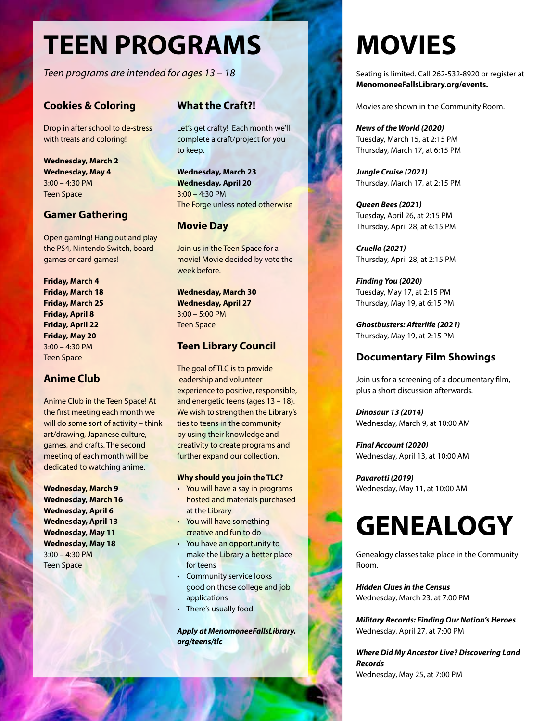## TEEN PROGRAMS

*Teen programs are intended for ages 13 – 18*

#### Cookies & Coloring

Drop in after school to de-stress with treats and coloring!

Wednesday, March 2 Wednesday, May 4 3:00 – 4:30 PM Teen Space

#### Gamer Gathering

Open gaming! Hang out and play the PS4, Nintendo Switch, board games or card games!

Friday, March 4 Friday, March 18 Friday, March 25 Friday, April 8 Friday, April 22 Friday, May 20 3:00 – 4:30 PM Teen Space

#### Anime Club

Anime Club in the Teen Space! At the first meeting each month we will do some sort of activity – think art/drawing, Japanese culture, games, and crafts. The second meeting of each month will be dedicated to watching anime.

Wednesday, March 9 Wednesday, March 16 Wednesday, April 6 Wednesday, April 13 Wednesday, May 11 Wednesday, May 18 3:00 – 4:30 PM Teen Space

#### What the Craft?!

Let's get crafty! Each month we'll complete a craft/project for you to keep.

Wednesday, March 23 Wednesday, April 20 3:00 – 4:30 PM The Forge unless noted otherwise

#### Movie Day

Join us in the Teen Space for a movie! Movie decided by vote the week before.

Wednesday, March 30 Wednesday, April 27 3:00 – 5:00 PM Teen Space

#### Teen Library Council

The goal of TLC is to provide leadership and volunteer experience to positive, responsible, and energetic teens (ages 13 – 18). We wish to strengthen the Library's ties to teens in the community by using their knowledge and creativity to create programs and further expand our collection.

#### Why should you join the TLC?

- You will have a say in programs hosted and materials purchased at the Library
- You will have something creative and fun to do
- You have an opportunity to make the Library a better place for teens
- Community service looks good on those college and job applications
- There's usually food!

*Apply at MenomoneeFallsLibrary. org/teens/tlc*

# MOVIES

Seating is limited. Call 262-532-8920 or register at MenomoneeFallsLibrary.org/events.

Movies are shown in the Community Room.

*News of the World (2020)* Tuesday, March 15, at 2:15 PM Thursday, March 17, at 6:15 PM

*Jungle Cruise (2021)* Thursday, March 17, at 2:15 PM

*Queen Bees (2021)* Tuesday, April 26, at 2:15 PM Thursday, April 28, at 6:15 PM

*Cruella (2021)* Thursday, April 28, at 2:15 PM

*Finding You (2020)* Tuesday, May 17, at 2:15 PM Thursday, May 19, at 6:15 PM

*Ghostbusters: Afterlife (2021)* Thursday, May 19, at 2:15 PM

#### Documentary Film Showings

Join us for a screening of a documentary film, plus a short discussion afterwards.

*Dinosaur 13 (2014)* Wednesday, March 9, at 10:00 AM

*Final Account (2020)* Wednesday, April 13, at 10:00 AM

*Pavarotti (2019)* Wednesday, May 11, at 10:00 AM

### **GENEALOGY**

Genealogy classes take place in the Community Room.

*Hidden Clues in the Census* Wednesday, March 23, at 7:00 PM

*Military Records: Finding Our Nation's Heroes* Wednesday, April 27, at 7:00 PM

*Where Did My Ancestor Live? Discovering Land Records* Wednesday, May 25, at 7:00 PM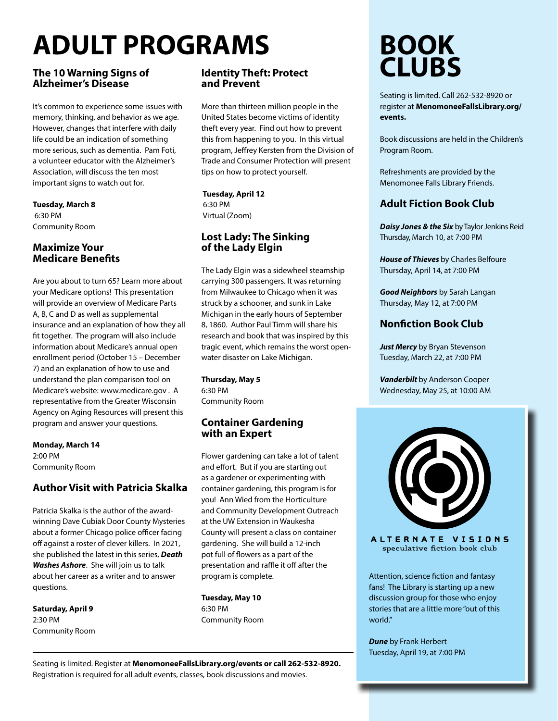# ADULT PROGRAMS

#### The 10 Warning Signs of Alzheimer's Disease

It's common to experience some issues with memory, thinking, and behavior as we age. However, changes that interfere with daily life could be an indication of something more serious, such as dementia. Pam Foti, a volunteer educator with the Alzheimer's Association, will discuss the ten most important signs to watch out for.

Tuesday, March 8 6:30 PM Community Room

#### Maximize Your Medicare Benefits

Are you about to turn 65? Learn more about your Medicare options! This presentation will provide an overview of Medicare Parts A, B, C and D as well as supplemental insurance and an explanation of how they all fit together. The program will also include information about Medicare's annual open enrollment period (October 15 – December 7) and an explanation of how to use and understand the plan comparison tool on Medicare's website: www.medicare.gov . A representative from the Greater Wisconsin Agency on Aging Resources will present this program and answer your questions.

Monday, March 14 2:00 PM Community Room

#### Author Visit with Patricia Skalka

Patricia Skalka is the author of the awardwinning Dave Cubiak Door County Mysteries about a former Chicago police officer facing off against a roster of clever killers. In 2021, she published the latest in this series, *Death Washes Ashore*. She will join us to talk about her career as a writer and to answer questions.

Saturday, April 9 2:30 PM Community Room

#### Identity Theft: Protect and Prevent

More than thirteen million people in the United States become victims of identity theft every year. Find out how to prevent this from happening to you. In this virtual program, Jeffrey Kersten from the Division of Trade and Consumer Protection will present tips on how to protect yourself.

 Tuesday, April 12 6:30 PM Virtual (Zoom)

#### Lost Lady: The Sinking of the Lady Elgin

The Lady Elgin was a sidewheel steamship carrying 300 passengers. It was returning from Milwaukee to Chicago when it was struck by a schooner, and sunk in Lake Michigan in the early hours of September 8, 1860. Author Paul Timm will share his research and book that was inspired by this tragic event, which remains the worst openwater disaster on Lake Michigan.

Thursday, May 5 6:30 PM Community Room

#### Container Gardening with an Expert

Flower gardening can take a lot of talent and effort. But if you are starting out as a gardener or experimenting with container gardening, this program is for you! Ann Wied from the Horticulture and Community Development Outreach at the UW Extension in Waukesha County will present a class on container gardening. She will build a 12-inch pot full of flowers as a part of the presentation and raffle it off after the program is complete.

Tuesday, May 10 6:30 PM Community Room

### BOOK **CLUBS**

Seating is limited. Call 262-532-8920 or register at MenomoneeFallsLibrary.org/ events.

Book discussions are held in the Children's Program Room.

Refreshments are provided by the Menomonee Falls Library Friends.

#### Adult Fiction Book Club

*Daisy Jones & the Six* by Taylor Jenkins Reid Thursday, March 10, at 7:00 PM

*House of Thieves* by Charles Belfoure Thursday, April 14, at 7:00 PM

*Good Neighbors* by Sarah Langan Thursday, May 12, at 7:00 PM

#### Nonfiction Book Club

*Just Mercy* by Bryan Stevenson Tuesday, March 22, at 7:00 PM

*Vanderbilt* by Anderson Cooper Wednesday, May 25, at 10:00 AM



ALTERNATE VISIONS speculative fiction book club

Attention, science fiction and fantasy fans! The Library is starting up a new discussion group for those who enjoy stories that are a little more "out of this world."

*Dune* by Frank Herbert Tuesday, April 19, at 7:00 PM

Seating is limited. Register at MenomoneeFallsLibrary.org/events or call 262-532-8920. Registration is required for all adult events, classes, book discussions and movies.